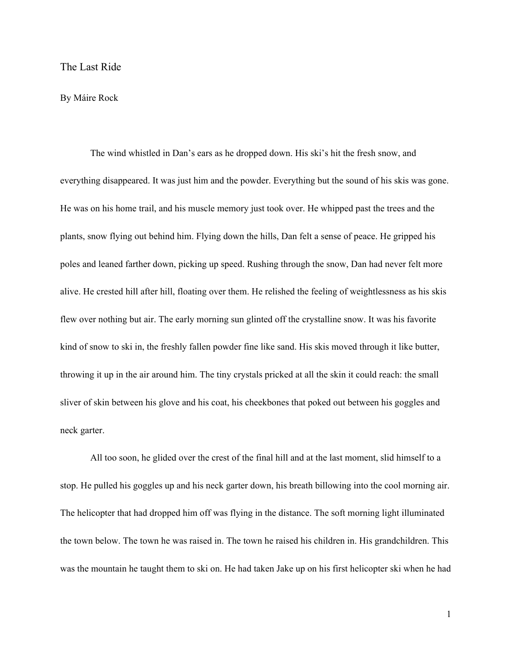## The Last Ride

## By Máire Rock

The wind whistled in Dan's ears as he dropped down. His ski's hit the fresh snow, and everything disappeared. It was just him and the powder. Everything but the sound of his skis was gone. He was on his home trail, and his muscle memory just took over. He whipped past the trees and the plants, snow flying out behind him. Flying down the hills, Dan felt a sense of peace. He gripped his poles and leaned farther down, picking up speed. Rushing through the snow, Dan had never felt more alive. He crested hill after hill, floating over them. He relished the feeling of weightlessness as his skis flew over nothing but air. The early morning sun glinted off the crystalline snow. It was his favorite kind of snow to ski in, the freshly fallen powder fine like sand. His skis moved through it like butter, throwing it up in the air around him. The tiny crystals pricked at all the skin it could reach: the small sliver of skin between his glove and his coat, his cheekbones that poked out between his goggles and neck garter.

All too soon, he glided over the crest of the final hill and at the last moment, slid himself to a stop. He pulled his goggles up and his neck garter down, his breath billowing into the cool morning air. The helicopter that had dropped him off was flying in the distance. The soft morning light illuminated the town below. The town he was raised in. The town he raised his children in. His grandchildren. This was the mountain he taught them to ski on. He had taken Jake up on his first helicopter ski when he had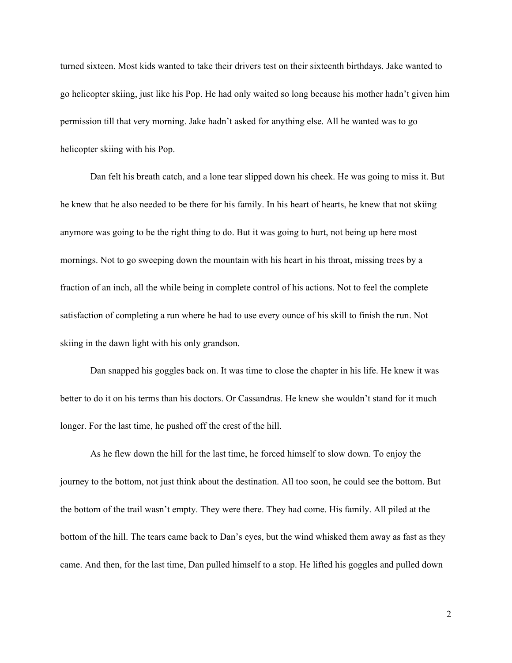turned sixteen. Most kids wanted to take their drivers test on their sixteenth birthdays. Jake wanted to go helicopter skiing, just like his Pop. He had only waited so long because his mother hadn't given him permission till that very morning. Jake hadn't asked for anything else. All he wanted was to go helicopter skiing with his Pop.

Dan felt his breath catch, and a lone tear slipped down his cheek. He was going to miss it. But he knew that he also needed to be there for his family. In his heart of hearts, he knew that not skiing anymore was going to be the right thing to do. But it was going to hurt, not being up here most mornings. Not to go sweeping down the mountain with his heart in his throat, missing trees by a fraction of an inch, all the while being in complete control of his actions. Not to feel the complete satisfaction of completing a run where he had to use every ounce of his skill to finish the run. Not skiing in the dawn light with his only grandson.

Dan snapped his goggles back on. It was time to close the chapter in his life. He knew it was better to do it on his terms than his doctors. Or Cassandras. He knew she wouldn't stand for it much longer. For the last time, he pushed off the crest of the hill.

As he flew down the hill for the last time, he forced himself to slow down. To enjoy the journey to the bottom, not just think about the destination. All too soon, he could see the bottom. But the bottom of the trail wasn't empty. They were there. They had come. His family. All piled at the bottom of the hill. The tears came back to Dan's eyes, but the wind whisked them away as fast as they came. And then, for the last time, Dan pulled himself to a stop. He lifted his goggles and pulled down